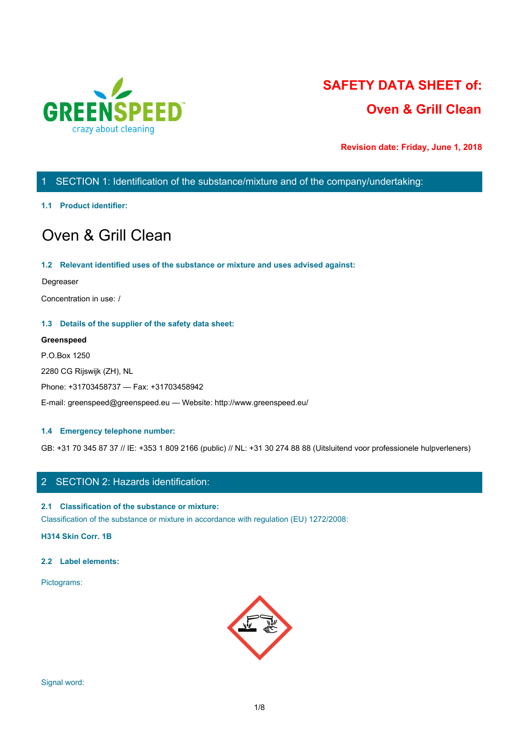

# **SAFETY DATA SHEET of: Oven & Grill Clean**

**Revision date: Friday, June 1, 2018**

# 1 SECTION 1: Identification of the substance/mixture and of the company/undertaking:

### **1.1 Product identifier:**

# Oven & Grill Clean

### **1.2 Relevant identified uses of the substance or mixture and uses advised against:**

### Degreaser

Concentration in use: /

### **1.3 Details of the supplier of the safety data sheet:**

### **Greenspeed**

P.O.Box 1250 2280 CG Rijswijk (ZH), NL Phone: +31703458737 — Fax: +31703458942 E-mail: greenspeed@greenspeed.eu — Website: http://www.greenspeed.eu/

### **1.4 Emergency telephone number:**

GB: +31 70 345 87 37 // IE: +353 1 809 2166 (public) // NL: +31 30 274 88 88 (Uitsluitend voor professionele hulpverleners)

### 2 SECTION 2: Hazards identification:

### **2.1 Classification of the substance or mixture:**

Classification of the substance or mixture in accordance with regulation (EU) 1272/2008:

**H314 Skin Corr. 1B**

### **2.2 Label elements:**

Pictograms:

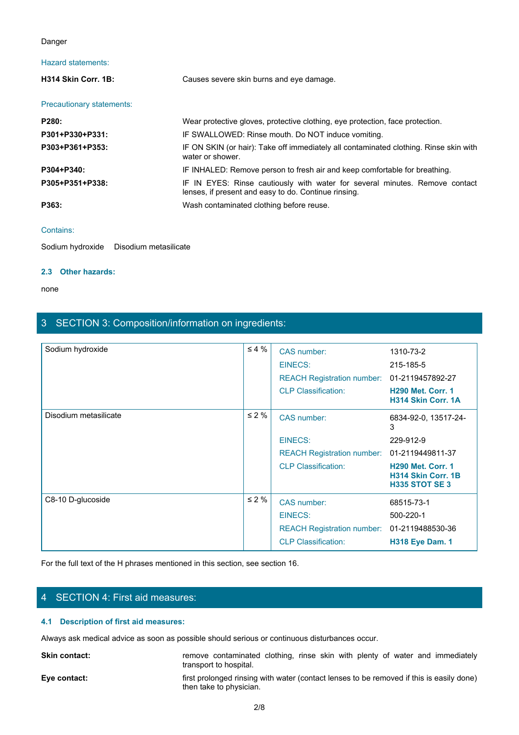### Danger

### Hazard statements:

| Danger                                 |                                                                                                                                     |  |
|----------------------------------------|-------------------------------------------------------------------------------------------------------------------------------------|--|
| <b>Hazard statements:</b>              |                                                                                                                                     |  |
| H314 Skin Corr. 1B:                    | Causes severe skin burns and eye damage.                                                                                            |  |
| Precautionary statements:              |                                                                                                                                     |  |
| P280:                                  | Wear protective gloves, protective clothing, eye protection, face protection.                                                       |  |
| P301+P330+P331:                        | IF SWALLOWED: Rinse mouth. Do NOT induce vomiting.                                                                                  |  |
| P303+P361+P353:                        | IF ON SKIN (or hair): Take off immediately all contaminated clothing. Rinse skin with<br>water or shower.                           |  |
| P304+P340:                             | IF INHALED: Remove person to fresh air and keep comfortable for breathing.                                                          |  |
| P305+P351+P338:                        | IF IN EYES: Rinse cautiously with water for several minutes. Remove contact<br>lenses, if present and easy to do. Continue rinsing. |  |
| P363:                                  | Wash contaminated clothing before reuse.                                                                                            |  |
| Contains:                              |                                                                                                                                     |  |
| Sodium hydroxide Disodium metasilicate |                                                                                                                                     |  |

#### Contains:

Sodium hydroxide Disodium metasilicate

### **2.3 Other hazards:**

none and the state of the state of the state of the state of the state of the state of the state of the state of the state of the state of the state of the state of the state of the state of the state of the state of the s

# 3 SECTION 3: Composition/information on ingredients:

| Sodium hydroxide                                                           |                                                                                                | $\leq 4 \%$ | CAS number:                                                                              | 1310-73-2                                                               |
|----------------------------------------------------------------------------|------------------------------------------------------------------------------------------------|-------------|------------------------------------------------------------------------------------------|-------------------------------------------------------------------------|
|                                                                            |                                                                                                |             | <b>EINECS:</b>                                                                           | 215-185-5                                                               |
|                                                                            |                                                                                                |             | <b>REACH Registration number:</b>                                                        | 01-2119457892-27                                                        |
|                                                                            |                                                                                                |             | <b>CLP Classification:</b>                                                               | <b>H290 Met. Corr. 1</b><br>H314 Skin Corr. 1A                          |
| Disodium metasilicate                                                      |                                                                                                | $\leq 2 \%$ | CAS number:                                                                              | 6834-92-0, 13517-24-<br>3                                               |
|                                                                            |                                                                                                |             | <b>EINECS:</b>                                                                           | 229-912-9                                                               |
|                                                                            |                                                                                                |             | <b>REACH Registration number:</b>                                                        | 01-2119449811-37                                                        |
|                                                                            |                                                                                                |             | <b>CLP Classification:</b>                                                               | <b>H290 Met. Corr. 1</b><br>H314 Skin Corr. 1B<br><b>H335 STOT SE 3</b> |
| C8-10 D-glucoside                                                          |                                                                                                | $\leq 2 \%$ | CAS number:                                                                              | 68515-73-1                                                              |
|                                                                            |                                                                                                |             | <b>EINECS:</b>                                                                           | 500-220-1                                                               |
|                                                                            |                                                                                                |             | REACH Registration number: 01-2119488530-36                                              |                                                                         |
|                                                                            |                                                                                                |             | <b>CLP Classification:</b>                                                               | <b>H318 Eye Dam. 1</b>                                                  |
| 4 SECTION 4: First aid measures:<br>4.1 Description of first aid measures: | For the full text of the H phrases mentioned in this section, see section 16.                  |             |                                                                                          |                                                                         |
|                                                                            | Always ask medical advice as soon as possible should serious or continuous disturbances occur. |             |                                                                                          |                                                                         |
| Skin contact:                                                              | transport to hospital.                                                                         |             | remove contaminated clothing, rinse skin with plenty of water and immediately            |                                                                         |
| Eye contact:                                                               | then take to physician.                                                                        |             | first prolonged rinsing with water (contact lenses to be removed if this is easily done) |                                                                         |
|                                                                            |                                                                                                | 2/8         |                                                                                          |                                                                         |
|                                                                            |                                                                                                |             |                                                                                          |                                                                         |

# 4 SECTION 4: First aid measures:

### **4.1 Description of first aid measures:**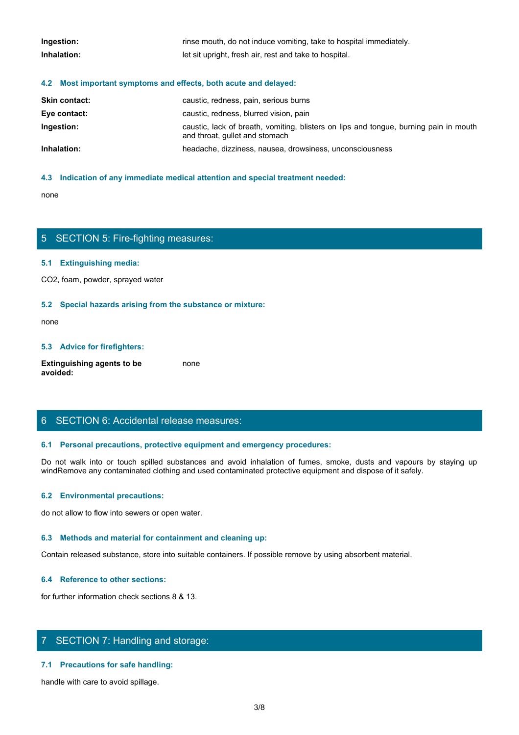| Ingestion:                                                       | rinse mouth, do not induce vomiting, take to hospital immediately. |
|------------------------------------------------------------------|--------------------------------------------------------------------|
| Inhalation:                                                      | let sit upright, fresh air, rest and take to hospital.             |
| 4.2 Most important symptoms and effects, both acute and delayed: |                                                                    |
| <b>Skin contact:</b>                                             | caustic, redness, pain, serious burns                              |
| Eve contact:                                                     | caustic, redness, blurred vision, pain                             |

| Eye contact: | caustic, redness, blurred vision, pain                                                                                  |
|--------------|-------------------------------------------------------------------------------------------------------------------------|
| Ingestion:   | caustic, lack of breath, vomiting, blisters on lips and tongue, burning pain in mouth<br>and throat, gullet and stomach |
| Inhalation:  | headache, dizziness, nausea, drowsiness, unconsciousness                                                                |

### **4.3 Indication of any immediate medical attention and special treatment needed:**

none and the state of the state of the state of the state of the state of the state of the state of the state of the state of the state of the state of the state of the state of the state of the state of the state of the s

### 5 SECTION 5: Fire-fighting measures:

### **5.1 Extinguishing media:**

CO2, foam, powder, sprayed water

### **5.2 Special hazards arising from the substance or mixture:**

none and the state of the state of the state of the state of the state of the state of the state of the state of the state of the state of the state of the state of the state of the state of the state of the state of the s

#### **5.3 Advice for firefighters:**

**Extinguishing agents to be avoided:** none and the state of the state of the state of the state of the state of the state of the state of the state of the state of the state of the state of the state of the state of the state of the state of the state of the s

## 6 SECTION 6: Accidental release measures:

### **6.1 Personal precautions, protective equipment and emergency procedures:**

none<br>
S. SECTION 5: Fire-fighting measures:<br>
S. S. Special hazards arising from the substance or mixture:<br>
H. S. Special hazards arising from the substance or mixture:<br>
and avoid in the fumes, spilled substances and avoid windRemove any contaminated clothing and used contaminated protective equipment and dispose of it safely.

#### **6.2 Environmental precautions:**

do not allow to flow into sewers or open water.

#### **6.3 Methods and material for containment and cleaning up:**

Contain released substance, store into suitable containers. If possible remove by using absorbent material.

### **6.4 Reference to other sections:**

for further information check sections 8 & 13.

## 7 SECTION 7: Handling and storage:

### **7.1 Precautions for safe handling:**

handle with care to avoid spillage.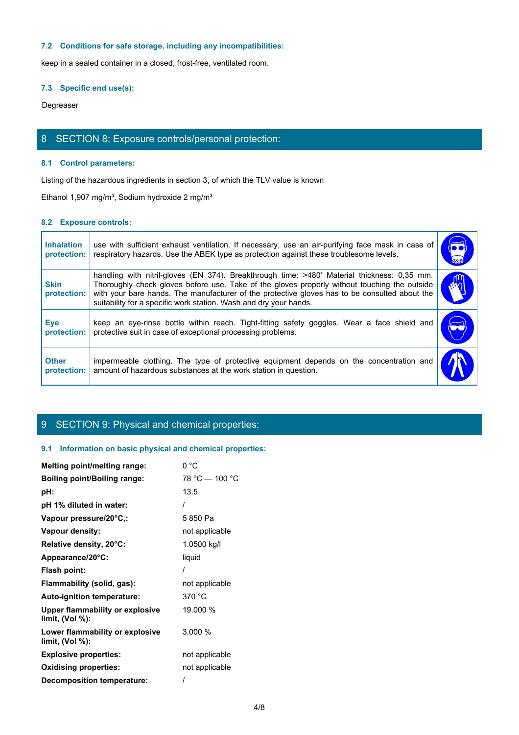### **7.2 Conditions for safe storage, including any incompatibilities:**

### **7.3 Specific end use(s):**

## 8 SECTION 8: Exposure controls/personal protection:

### **8.1 Control parameters:**

### **8.2 Exposure controls:**

|                                  | 7.2 Conditions for safe storage, including any incompatibilities:                                                                                                                                                                                                                                                                                                 |                      |
|----------------------------------|-------------------------------------------------------------------------------------------------------------------------------------------------------------------------------------------------------------------------------------------------------------------------------------------------------------------------------------------------------------------|----------------------|
|                                  | keep in a sealed container in a closed, frost-free, ventilated room.                                                                                                                                                                                                                                                                                              |                      |
| 7.3 Specific end use(s):         |                                                                                                                                                                                                                                                                                                                                                                   |                      |
| Degreaser                        |                                                                                                                                                                                                                                                                                                                                                                   |                      |
|                                  |                                                                                                                                                                                                                                                                                                                                                                   |                      |
|                                  | 8 SECTION 8: Exposure controls/personal protection:                                                                                                                                                                                                                                                                                                               |                      |
| 8.1 Control parameters:          |                                                                                                                                                                                                                                                                                                                                                                   |                      |
|                                  | Listing of the hazardous ingredients in section 3, of which the TLV value is known                                                                                                                                                                                                                                                                                |                      |
|                                  | Ethanol 1,907 mg/m <sup>3</sup> , Sodium hydroxide 2 mg/m <sup>3</sup>                                                                                                                                                                                                                                                                                            |                      |
| 8.2 Exposure controls:           |                                                                                                                                                                                                                                                                                                                                                                   |                      |
|                                  |                                                                                                                                                                                                                                                                                                                                                                   |                      |
| <b>Inhalation</b><br>protection: | use with sufficient exhaust ventilation. If necessary, use an air-purifying face mask in case of<br>respiratory hazards. Use the ABEK type as protection against these troublesome levels.                                                                                                                                                                        | $\overline{\bullet}$ |
| <b>Skin</b><br>protection:       | handling with nitril-gloves (EN 374). Breakthrough time: >480' Material thickness: 0,35 mm.<br>Thoroughly check gloves before use. Take of the gloves properly without touching the outside<br>with your bare hands. The manufacturer of the protective gloves has to be consulted about the<br>suitability for a specific work station. Wash and dry your hands. | $\tilde{w}$          |
| <b>Eye</b><br>protection:        | keep an eye-rinse bottle within reach. Tight-fitting safety goggles. Wear a face shield and<br>protective suit in case of exceptional processing problems.                                                                                                                                                                                                        | $\mathbf{\Omega}$    |
| <b>Other</b>                     | impermeable clothing. The type of protective equipment depends on the concentration and<br>amount of hazardous substances at the work station in question.                                                                                                                                                                                                        |                      |

# 9 SECTION 9: Physical and chemical properties:

### **9.1 Information on basic physical and chemical properties:**

| <b>Melting point/melting range:</b>                   | 0 °C           |
|-------------------------------------------------------|----------------|
| <b>Boiling point/Boiling range:</b>                   | 78 °C - 100 °C |
| pH:                                                   | 13.5           |
| pH 1% diluted in water:                               |                |
| Vapour pressure/20°C,:                                | 5850 Pa        |
| Vapour density:                                       | not applicable |
| Relative density, 20°C:                               | 1.0500 kg/l    |
| Appearance/20°C:                                      | liquid         |
| Flash point:                                          |                |
| Flammability (solid, gas):                            | not applicable |
| Auto-ignition temperature:                            | 370 °C         |
| Upper flammability or explosive<br>limit, $(Vol %)$ : | 19.000 %       |
| Lower flammability or explosive<br>limit, (Vol %):    | 3.000%         |
| <b>Explosive properties:</b>                          | not applicable |
| <b>Oxidising properties:</b>                          | not applicable |
| Decomposition temperature:                            |                |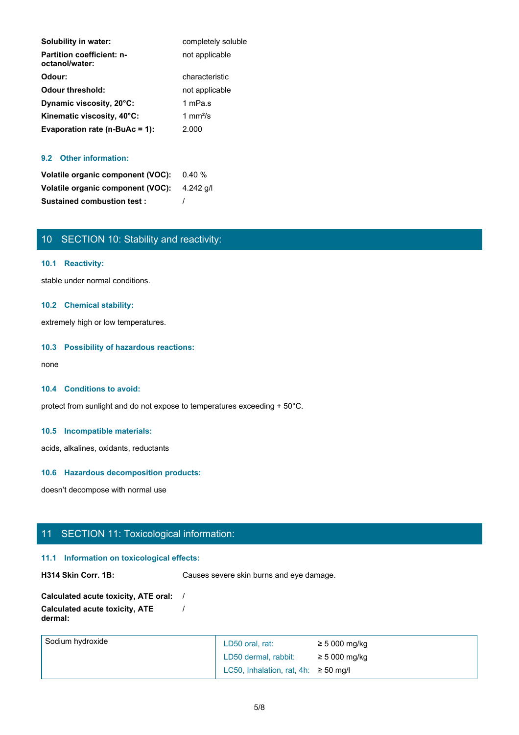| Solubility in water:                               | completely soluble |
|----------------------------------------------------|--------------------|
| <b>Partition coefficient: n-</b><br>octanol/water: | not applicable     |
| Odour:                                             | characteristic     |
| <b>Odour threshold:</b>                            | not applicable     |
| Dynamic viscosity, 20°C:                           | 1 mPa.s            |
| Kinematic viscosity, 40°C:                         | 1 mm $\frac{2}{s}$ |
| Evaporation rate ( $n$ -BuAc = 1):                 | 2.000              |

### **9.2 Other information:**

| Volatile organic component (VOC): 0.40 %    |  |
|---------------------------------------------|--|
| Volatile organic component (VOC): 4.242 g/l |  |
| <b>Sustained combustion test:</b>           |  |

# 10 SECTION 10: Stability and reactivity:

### **10.1 Reactivity:**

stable under normal conditions.

### **10.2 Chemical stability:**

extremely high or low temperatures.

### **10.3 Possibility of hazardous reactions:**

none and the state of the state of the state of the state of the state of the state of the state of the state of the state of the state of the state of the state of the state of the state of the state of the state of the s

### **10.4 Conditions to avoid:**

protect from sunlight and do not expose to temperatures exceeding + 50°C.

### **10.5 Incompatible materials:**

acids, alkalines, oxidants, reductants

### **10.6 Hazardous decomposition products:**

doesn't decompose with normal use

# 11 SECTION 11: Toxicological information:

### **11.1 Information on toxicological effects:**

**H314 Skin Corr. 1B:** Causes severe skin burns and eye damage.

| Calculated acute toxicity, ATE oral: |  |
|--------------------------------------|--|
| Calculated acute toxicity, ATE       |  |
| dermal:                              |  |

| Sodium hydroxide | LD50 oral, rat:                           | $\geq$ 5 000 mg/kg |
|------------------|-------------------------------------------|--------------------|
|                  | LD50 dermal, rabbit:                      | $\geq$ 5 000 mg/kg |
|                  | LC50, Inhalation, rat, 4h: $\geq$ 50 mg/l |                    |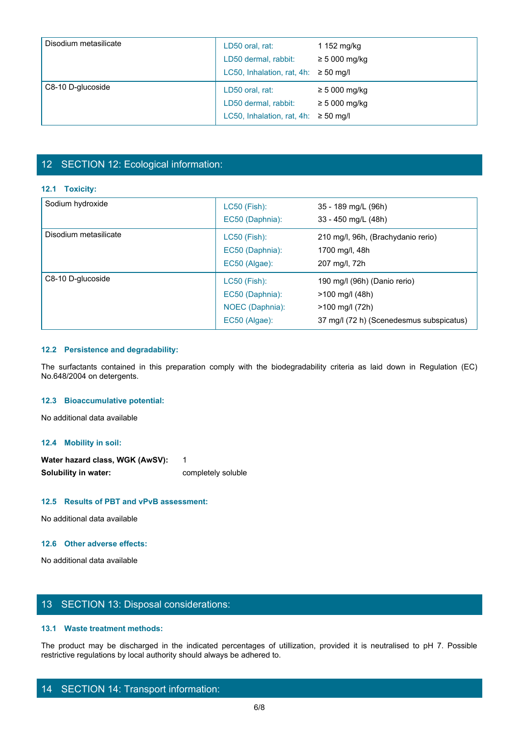| Disodium metasilicate | LD50 oral, rat:<br>LD50 dermal, rabbit:<br>LC50, Inhalation, rat, 4h: $\geq$ 50 mg/l | 1 152 mg/kg<br>$\geq 5000$ mg/kg       |  |
|-----------------------|--------------------------------------------------------------------------------------|----------------------------------------|--|
| C8-10 D-glucoside     | LD50 oral, rat:<br>LD50 dermal, rabbit:<br>LC50, Inhalation, rat, 4h: $\geq$ 50 mg/l | $\geq 5000$ mg/kg<br>$\geq 5000$ mg/kg |  |

# 12 SECTION 12: Ecological information:

### **12.1 Toxicity:**

|                                        | LD50 dermal, rabbit:                      | $\geq 5000$ mg/kg                                                                                                       |
|----------------------------------------|-------------------------------------------|-------------------------------------------------------------------------------------------------------------------------|
|                                        | LC50, Inhalation, rat, 4h: $\geq$ 50 mg/l |                                                                                                                         |
|                                        |                                           |                                                                                                                         |
|                                        |                                           |                                                                                                                         |
| 12 SECTION 12: Ecological information: |                                           |                                                                                                                         |
|                                        |                                           |                                                                                                                         |
| 12.1 Toxicity:                         |                                           |                                                                                                                         |
| Sodium hydroxide                       | LC50 (Fish):                              | 35 - 189 mg/L (96h)                                                                                                     |
|                                        | EC50 (Daphnia):                           | 33 - 450 mg/L (48h)                                                                                                     |
| Disodium metasilicate                  | <b>LC50 (Fish):</b>                       | 210 mg/l, 96h, (Brachydanio rerio)                                                                                      |
|                                        | EC50 (Daphnia):                           | 1700 mg/l, 48h                                                                                                          |
|                                        | EC50 (Algae):                             | 207 mg/l, 72h                                                                                                           |
| C8-10 D-glucoside                      | LC50 (Fish):                              | 190 mg/l (96h) (Danio rerio)                                                                                            |
|                                        | EC50 (Daphnia):                           | >100 mg/l (48h)                                                                                                         |
|                                        | NOEC (Daphnia):                           | >100 mg/l (72h)                                                                                                         |
|                                        | EC50 (Algae):                             | 37 mg/l (72 h) (Scenedesmus subspicatus)                                                                                |
|                                        |                                           |                                                                                                                         |
| 12.2 Persistence and degradability:    |                                           |                                                                                                                         |
|                                        |                                           | The surfactants contained in this preparation comply with the biodegradability criteria as laid down in Regulation (EC) |
| No.648/2004 on detergents.             |                                           |                                                                                                                         |
|                                        |                                           |                                                                                                                         |
| 12.3 Bioaccumulative potential:        |                                           |                                                                                                                         |
| No additional data available           |                                           |                                                                                                                         |
|                                        |                                           |                                                                                                                         |

### **12.2 Persistence and degradability:**

### **12.3 Bioaccumulative potential:**

### **12.4 Mobility in soil:**

Water hazard class, WGK (AwSV): 1 **Solubility in water:** completely soluble

### **12.5 Results of PBT and vPvB assessment:**

No additional data available

### **12.6 Other adverse effects:**

No additional data available

### 13 SECTION 13: Disposal considerations:

### **13.1 Waste treatment methods:**

The product may be discharged in the indicated percentages of utilization of the indicated be discharged in the indicated percentages of utilizations of the indicated percentages of utilization, provided it is neutralised restrictive regulations by local authority should always be adhered to.

### 14 SECTION 14: Transport information: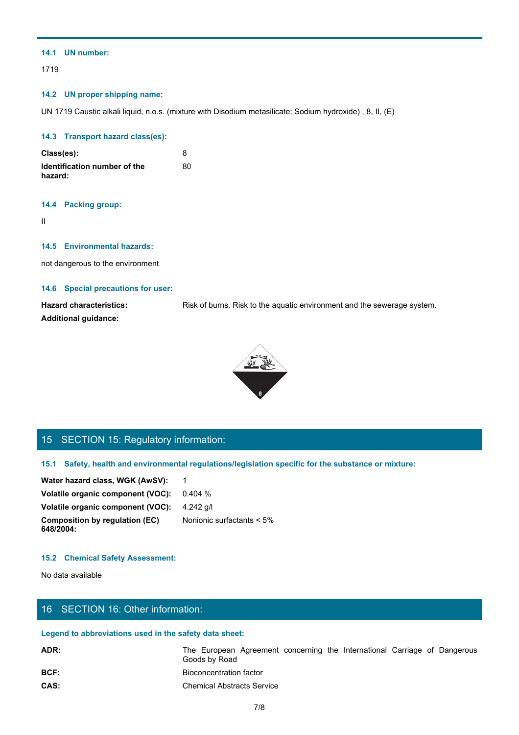### **14.1 UN number:**

1719

### **14.2 UN proper shipping name:**

UN 1719 Caustic alkali liquid, n.o.s. (mixture with Disodium metasilicate; Sodium hydroxide) , 8, II, (E)

### **14.3 Transport hazard class(es):**

| Class(es):                              |    |
|-----------------------------------------|----|
| Identification number of the<br>hazard: | 80 |

### **14.4 Packing group:**

II and the state of the state of the state of the state of the state of the state of the state of the state of

### **14.5 Environmental hazards:**

not dangerous to the environment

### **14.6 Special precautions for user:**

**Hazard characteristics:** Risk of burns. Risk to the aquatic environment and the sewerage system. **Additional guidance:**



# 15 SECTION 15: Regulatory information:

| Water hazard class, WGK (AwSV):                    |                              |
|----------------------------------------------------|------------------------------|
| Volatile organic component (VOC):                  | 0.404 %                      |
| Volatile organic component (VOC): 4.242 g/l        |                              |
| <b>Composition by regulation (EC)</b><br>648/2004: | Nonionic surfactants $< 5\%$ |

### **15.2 Chemical Safety Assessment:**

# 16 SECTION 16: Other information:

### **Legend to abbreviations used in the safety data sheet:**

| 15 SECTION 15: Regulatory information:                 |                                                                                                      |
|--------------------------------------------------------|------------------------------------------------------------------------------------------------------|
|                                                        | 15.1 Safety, health and environmental regulations/legislation specific for the substance or mixture: |
| Water hazard class, WGK (AwSV):                        | $\overline{\phantom{1}}$                                                                             |
| Volatile organic component (VOC):                      | 0.404%                                                                                               |
| Volatile organic component (VOC):                      | 4.242 g/l                                                                                            |
| <b>Composition by regulation (EC)</b><br>648/2004:     | Nonionic surfactants < 5%                                                                            |
| <b>15.2 Chemical Safety Assessment:</b>                |                                                                                                      |
| No data available                                      |                                                                                                      |
| 16 SECTION 16: Other information:                      |                                                                                                      |
| Legend to abbreviations used in the safety data sheet: |                                                                                                      |
| ADR:                                                   | The European Agreement concerning the International Carriage of Dangerous<br>Goods by Road           |
| BCF:                                                   | <b>Bioconcentration factor</b>                                                                       |
| CAS:                                                   | <b>Chemical Abstracts Service</b>                                                                    |
|                                                        | 7/8                                                                                                  |